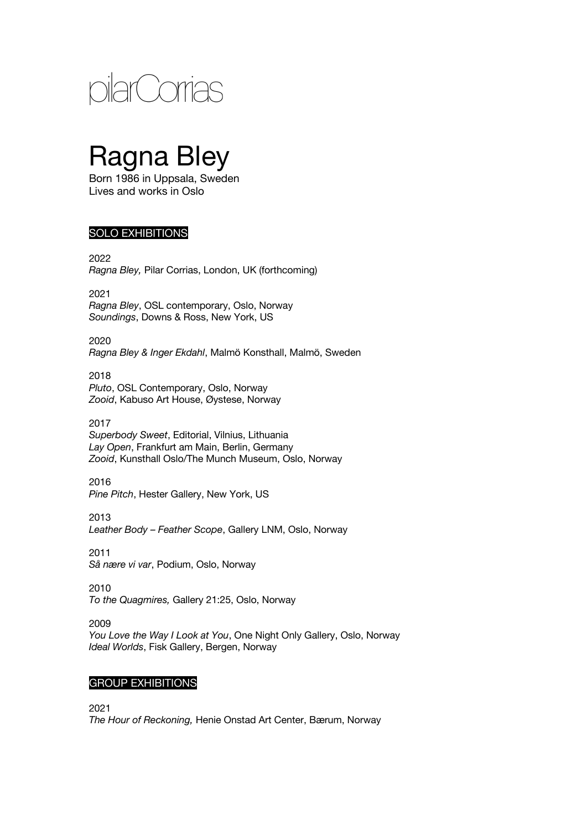

# Ragna Bley

Born 1986 in Uppsala, Sweden Lives and works in Oslo

## SOLO EXHIBITIONS

2022 *Ragna Bley,* Pilar Corrias, London, UK (forthcoming)

2021 *Ragna Bley*, OSL contemporary, Oslo, Norway *Soundings*, Downs & Ross, New York, US

2020 *Ragna Bley & Inger Ekdahl*, Malmö Konsthall, Malmö, Sweden

2018 *Pluto*, OSL Contemporary, Oslo, Norway *Zooid*, Kabuso Art House, Øystese, Norway

2017 *Superbody Sweet*, Editorial, Vilnius, Lithuania *Lay Open*, Frankfurt am Main, Berlin, Germany *Zooid*, Kunsthall Oslo/The Munch Museum, Oslo, Norway

2016 *Pine Pitch*, Hester Gallery, New York, US

2013 *Leather Body – Feather Scope*, Gallery LNM, Oslo, Norway

2011 *Så nære vi var*, Podium, Oslo, Norway

2010 *To the Quagmires,* Gallery 21:25, Oslo, Norway

2009 *You Love the Way I Look at You*, One Night Only Gallery, Oslo, Norway *Ideal Worlds*, Fisk Gallery, Bergen, Norway

#### GROUP EXHIBITIONS

2021 *The Hour of Reckoning,* Henie Onstad Art Center, Bærum, Norway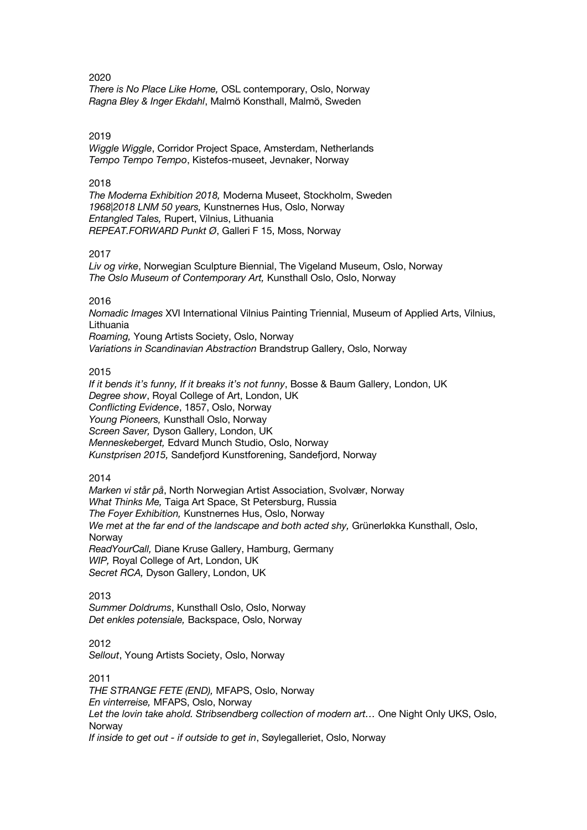*There is No Place Like Home,* OSL contemporary, Oslo, Norway *Ragna Bley & Inger Ekdahl*, Malmö Konsthall, Malmö, Sweden

#### 2019

*Wiggle Wiggle*, Corridor Project Space, Amsterdam, Netherlands *Tempo Tempo Tempo*, Kistefos-museet, Jevnaker, Norway

#### 2018

*The Moderna Exhibition 2018,* Moderna Museet, Stockholm, Sweden *1968|2018 LNM 50 years,* Kunstnernes Hus, Oslo, Norway *Entangled Tales,* Rupert, Vilnius, Lithuania *REPEAT.FORWARD Punkt Ø*, Galleri F 15, Moss, Norway

#### 2017

*Liv og virke*, Norwegian Sculpture Biennial, The Vigeland Museum, Oslo, Norway *The Oslo Museum of Contemporary Art,* Kunsthall Oslo, Oslo, Norway

#### 2016

*Nomadic Images* XVI International Vilnius Painting Triennial, Museum of Applied Arts, Vilnius, Lithuania

*Roaming,* Young Artists Society, Oslo, Norway *Variations in Scandinavian Abstraction* Brandstrup Gallery, Oslo, Norway

#### 2015

*If it bends it's funny, If it breaks it's not funny*, Bosse & Baum Gallery, London, UK *Degree show*, Royal College of Art, London, UK *Conflicting Evidence*, 1857, Oslo, Norway *Young Pioneers,* Kunsthall Oslo, Norway *Screen Saver,* Dyson Gallery, London, UK *Menneskeberget,* Edvard Munch Studio, Oslo, Norway *Kunstprisen 2015,* Sandefjord Kunstforening, Sandefjord, Norway

#### 2014

*Marken vi står på*, North Norwegian Artist Association, Svolvær, Norway *What Thinks Me,* Taiga Art Space, St Petersburg, Russia *The Foyer Exhibition,* Kunstnernes Hus, Oslo, Norway *We met at the far end of the landscape and both acted shy,* Grünerløkka Kunsthall, Oslo, Norway *ReadYourCall,* Diane Kruse Gallery, Hamburg, Germany *WIP,* Royal College of Art, London, UK *Secret RCA,* Dyson Gallery, London, UK

2013 *Summer Doldrums*, Kunsthall Oslo, Oslo, Norway *Det enkles potensiale,* Backspace, Oslo, Norway

2012 *Sellout*, Young Artists Society, Oslo, Norway

2011 *THE STRANGE FETE (END),* MFAPS, Oslo, Norway *En vinterreise,* MFAPS, Oslo, Norway Let the lovin take ahold. Stribsendberg collection of modern art... One Night Only UKS, Oslo, Norway *If inside to get out - if outside to get in*, Søylegalleriet, Oslo, Norway

#### 2020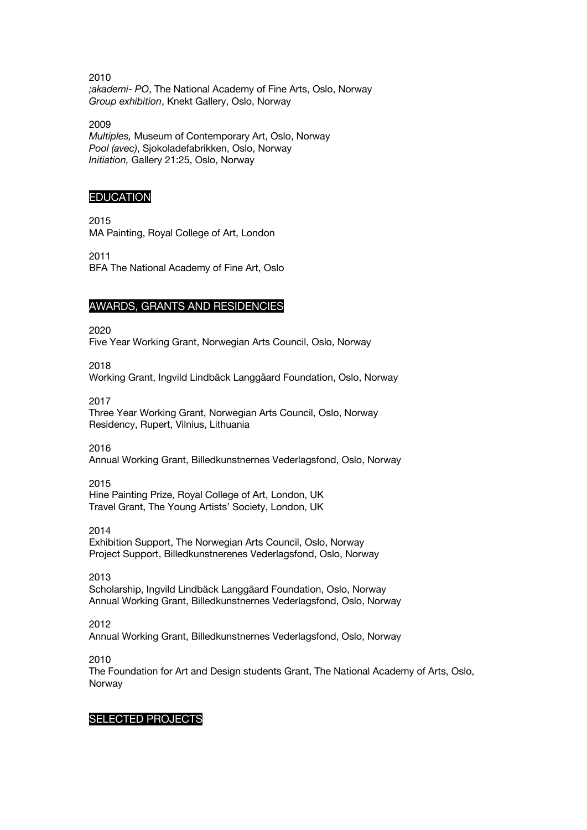2010 *;akademi- PO*, The National Academy of Fine Arts, Oslo, Norway *Group exhibition*, Knekt Gallery, Oslo, Norway

2009 *Multiples,* Museum of Contemporary Art, Oslo, Norway *Pool (avec)*, Sjokoladefabrikken, Oslo, Norway *Initiation,* Gallery 21:25, Oslo, Norway

## **EDUCATION**

2015 MA Painting, Royal College of Art, London

2011 BFA The National Academy of Fine Art, Oslo

## AWARDS, GRANTS AND RESIDENCIES

2020

Five Year Working Grant, Norwegian Arts Council, Oslo, Norway

2018

Working Grant, Ingvild Lindbäck Langgåard Foundation, Oslo, Norway

2017

Three Year Working Grant, Norwegian Arts Council, Oslo, Norway Residency, Rupert, Vilnius, Lithuania

2016

Annual Working Grant, Billedkunstnernes Vederlagsfond, Oslo, Norway

2015

Hine Painting Prize, Royal College of Art, London, UK Travel Grant, The Young Artists' Society, London, UK

2014

Exhibition Support, The Norwegian Arts Council, Oslo, Norway Project Support, Billedkunstnerenes Vederlagsfond, Oslo, Norway

2013 Scholarship, Ingvild Lindbäck Langgåard Foundation, Oslo, Norway Annual Working Grant, Billedkunstnernes Vederlagsfond, Oslo, Norway

2012

Annual Working Grant, Billedkunstnernes Vederlagsfond, Oslo, Norway

2010

The Foundation for Art and Design students Grant, The National Academy of Arts, Oslo, Norway

### SELECTED PROJECTS